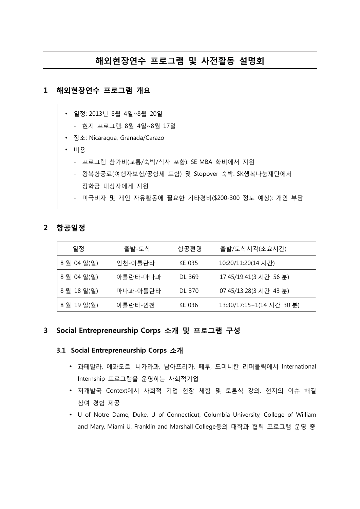# **해외현장연수 프로그램 및 사전활동 설명회**

## **1 해외현장연수 프로그램 개요**

- 일정: 2013년 8월 4일~8월 20일
	- 현지 프로그램: 8월 4일~8월 17일
- 장소: Nicaragua, Granada/Carazo
- 비용
	- 프로그램 참가비(교통/숙박/식사 포함): SE MBA 학비에서 지원
	- 왕복항공료(여행자보험/공항세 포함) 및 Stopover 숙박: SK행복나눔재단에서 장학금 대상자에게 지원
	- 미국비자 및 개인 자유활동에 필요한 기타경비(\$200-300 정도 예상): 개인 부담

#### **2 항공일정**

| 일정        | 출발-도착    | 항공편명   | 출발/도착시각(소요시간)             |
|-----------|----------|--------|---------------------------|
| 8월 04일(일) | 인천-아틀란타  | KE 035 | 10:20/11:20(14 시간)        |
| 8월 04일(일) | 아틀란타-마나과 | DL 369 | 17:45/19:41(3 시간 56 분)    |
| 8월 18일(일) | 마나과-아틀란타 | DL 370 | 07:45/13:28(3 시간 43 분)    |
| 8월 19일(월) | 아틀란타-인천  | KE 036 | 13:30/17:15+1(14 시간 30 분) |

## **3 Social Entrepreneurship Corps 소개 및 프로그램 구성**

#### **3.1 Social Entrepreneurship Corps 소개**

- 과테말라, 에콰도르, 니카라과, 남아프리카, 페루, 도미니칸 리퍼블릭에서 International Internship 프로그램을 운영하는 사회적기업
- 저개발국 Context에서 사회적 기업 현장 체험 및 토론식 강의, 현지의 이슈 해결 참여 경험 제공
- U of Notre Dame, Duke, U of Connecticut, Columbia University, College of William and Mary, Miami U, Franklin and Marshall College등의 대학과 협력 프로그램 운영 중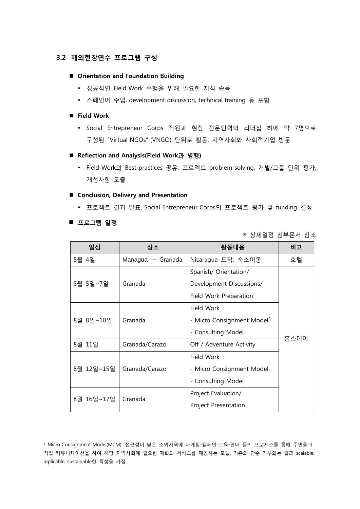### **3.2 해외현장연수 프로그램 구성**

#### **Orientation and Foundation Building**

- 성공적인 Field Work 수행을 위해 필요한 지식 습득
- 스페인어 수업, development discussion, technical training 등 포함

#### **Field Work**

• Social Entrepreneur Corps 직원과 현장 전문인력의 리더십 하에 약 7명으로 구성된 "Virtual NGOs" (VNGO) 단위로 활동, 지역사회와 사회적기업 방문

#### **Reflection and Analysis(Field Work과 병행)**

 Field Work의 Best practices 공유, 프로젝트 problem solving, 개별/그룹 단위 평가, 개선사항 도출

#### **Conclusion, Delivery and Presentation**

프로젝트 결과 발표, Social Entrepreneur Corps의 프로젝트 평가 및 funding 결정

#### **프로그램 일정**

-

※ 상세일정 첨부문서 참조

| 일정         | 장소                            | 활동내용                                   | 비고   |
|------------|-------------------------------|----------------------------------------|------|
| 8월 4일      | Managua $\rightarrow$ Granada | Nicaragua 도착, 숙소이동                     | 호텔   |
| 8월 5일~7일   | Granada                       | Spanish/ Orientation/                  |      |
|            |                               | Development Discussions/               |      |
|            |                               | Field Work Preparation                 |      |
| 8월 8일~10일  | Granada                       | Field Work                             |      |
|            |                               | - Micro Consignment Model <sup>1</sup> |      |
|            |                               | - Consulting Model                     | 홈스테이 |
| 8월 11일     | Granada/Carazo                | Off / Adventure Activity               |      |
| 8월 12일~15일 | Granada/Carazo                | Field Work                             |      |
|            |                               | - Micro Consignment Model              |      |
|            |                               | - Consulting Model                     |      |
| 8월 16일~17일 | Granada                       | Project Evaluation/                    |      |
|            |                               | Project Presentation                   |      |

<span id="page-1-0"></span><sup>1</sup> Micro Consignment Model(MCM): 접근성이 낮은 소외지역에 마케팅-캠페인-교육-판매 등의 프로세스를 통해 주민들과 직접 커뮤니케이션을 하여 해당 지역사회에 필요한 재화와 서비스를 제공하는 모델. 기존의 단순 기부와는 달리 scalable, replicable, sustainable한 특성을 가짐.